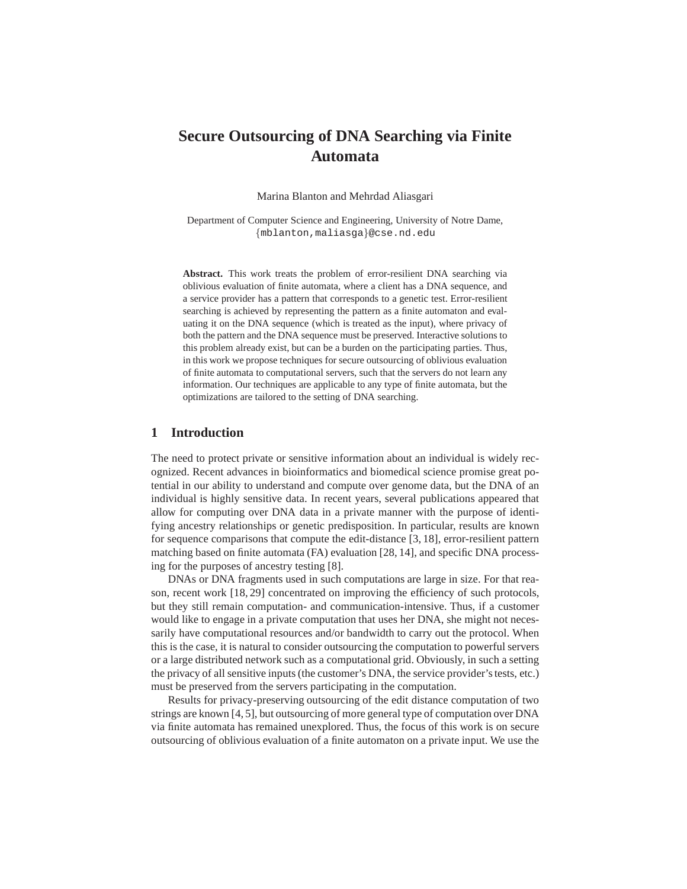# **Secure Outsourcing of DNA Searching via Finite Automata**

Marina Blanton and Mehrdad Aliasgari

Department of Computer Science and Engineering, University of Notre Dame, {mblanton,maliasga}@cse.nd.edu

**Abstract.** This work treats the problem of error-resilient DNA searching via oblivious evaluation of finite automata, where a client has a DNA sequence, and a service provider has a pattern that corresponds to a genetic test. Error-resilient searching is achieved by representing the pattern as a finite automaton and evaluating it on the DNA sequence (which is treated as the input), where privacy of both the pattern and the DNA sequence must be preserved. Interactive solutions to this problem already exist, but can be a burden on the participating parties. Thus, in this work we propose techniques for secure outsourcing of oblivious evaluation of finite automata to computational servers, such that the servers do not learn any information. Our techniques are applicable to any type of finite automata, but the optimizations are tailored to the setting of DNA searching.

### **1 Introduction**

The need to protect private or sensitive information about an individual is widely recognized. Recent advances in bioinformatics and biomedical science promise great potential in our ability to understand and compute over genome data, but the DNA of an individual is highly sensitive data. In recent years, several publications appeared that allow for computing over DNA data in a private manner with the purpose of identifying ancestry relationships or genetic predisposition. In particular, results are known for sequence comparisons that compute the edit-distance [3, 18], error-resilient pattern matching based on finite automata (FA) evaluation [28, 14], and specific DNA processing for the purposes of ancestry testing [8].

DNAs or DNA fragments used in such computations are large in size. For that reason, recent work [18, 29] concentrated on improving the efficiency of such protocols, but they still remain computation- and communication-intensive. Thus, if a customer would like to engage in a private computation that uses her DNA, she might not necessarily have computational resources and/or bandwidth to carry out the protocol. When this is the case, it is natural to consider outsourcing the computation to powerful servers or a large distributed network such as a computational grid. Obviously, in such a setting the privacy of all sensitive inputs (the customer's DNA, the service provider's tests, etc.) must be preserved from the servers participating in the computation.

Results for privacy-preserving outsourcing of the edit distance computation of two strings are known [4, 5], but outsourcing of more general type of computation over DNA via finite automata has remained unexplored. Thus, the focus of this work is on secure outsourcing of oblivious evaluation of a finite automaton on a private input. We use the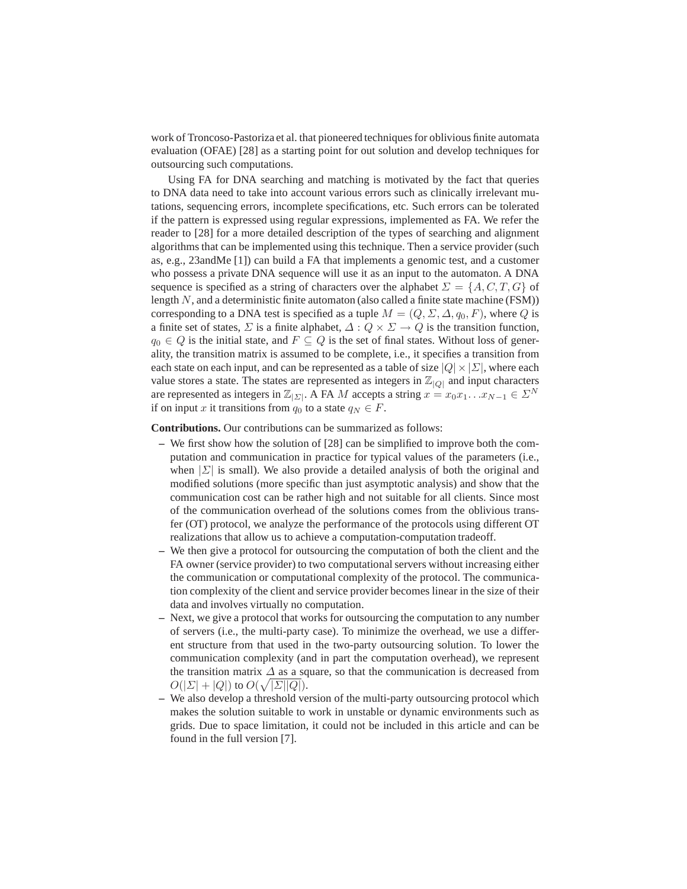work of Troncoso-Pastoriza et al. that pioneered techniques for oblivious finite automata evaluation (OFAE) [28] as a starting point for out solution and develop techniques for outsourcing such computations.

Using FA for DNA searching and matching is motivated by the fact that queries to DNA data need to take into account various errors such as clinically irrelevant mutations, sequencing errors, incomplete specifications, etc. Such errors can be tolerated if the pattern is expressed using regular expressions, implemented as FA. We refer the reader to [28] for a more detailed description of the types of searching and alignment algorithms that can be implemented using this technique. Then a service provider (such as, e.g., 23andMe [1]) can build a FA that implements a genomic test, and a customer who possess a private DNA sequence will use it as an input to the automaton. A DNA sequence is specified as a string of characters over the alphabet  $\Sigma = \{A, C, T, G\}$  of length N, and a deterministic finite automaton (also called a finite state machine (FSM)) corresponding to a DNA test is specified as a tuple  $M = (Q, \Sigma, \Delta, q_0, F)$ , where Q is a finite set of states,  $\Sigma$  is a finite alphabet,  $\Delta: Q \times \Sigma \to Q$  is the transition function,  $q_0 \in Q$  is the initial state, and  $F \subseteq Q$  is the set of final states. Without loss of generality, the transition matrix is assumed to be complete, i.e., it specifies a transition from each state on each input, and can be represented as a table of size  $|Q| \times |\Sigma|$ , where each value stores a state. The states are represented as integers in  $\mathbb{Z}_{|Q|}$  and input characters are represented as integers in  $\mathbb{Z}_{|\Sigma|}$ . A FA M accepts a string  $x = x_0x_1...x_{N-1} \in \Sigma^N$ if on input x it transitions from  $q_0$  to a state  $q_N \in F$ .

**Contributions.** Our contributions can be summarized as follows:

- **–** We first show how the solution of [28] can be simplified to improve both the computation and communication in practice for typical values of the parameters (i.e., when  $|\Sigma|$  is small). We also provide a detailed analysis of both the original and modified solutions (more specific than just asymptotic analysis) and show that the communication cost can be rather high and not suitable for all clients. Since most of the communication overhead of the solutions comes from the oblivious transfer (OT) protocol, we analyze the performance of the protocols using different OT realizations that allow us to achieve a computation-computation tradeoff.
- **–** We then give a protocol for outsourcing the computation of both the client and the FA owner (service provider) to two computational servers without increasing either the communication or computational complexity of the protocol. The communication complexity of the client and service provider becomes linear in the size of their data and involves virtually no computation.
- **–** Next, we give a protocol that works for outsourcing the computation to any number of servers (i.e., the multi-party case). To minimize the overhead, we use a different structure from that used in the two-party outsourcing solution. To lower the communication complexity (and in part the computation overhead), we represent the transition matrix  $\Delta$  as a square, so that the communication is decreased from  $O(|\Sigma| + |Q|)$  to  $O(\sqrt{|\Sigma||Q|}).$
- **–** We also develop a threshold version of the multi-party outsourcing protocol which makes the solution suitable to work in unstable or dynamic environments such as grids. Due to space limitation, it could not be included in this article and can be found in the full version [7].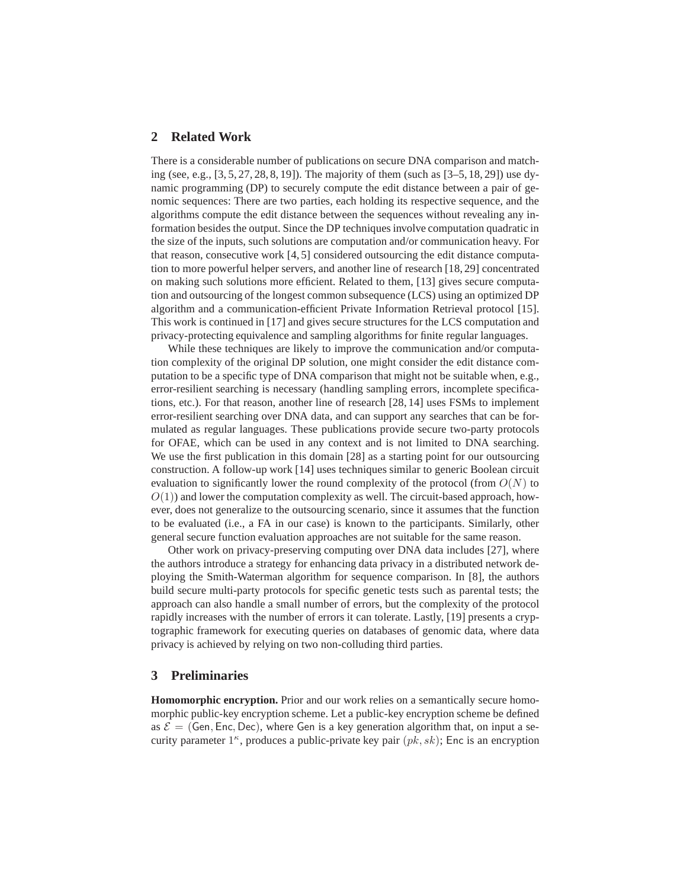## **2 Related Work**

There is a considerable number of publications on secure DNA comparison and matching (see, e.g., [3, 5, 27, 28, 8, 19]). The majority of them (such as [3–5, 18, 29]) use dynamic programming (DP) to securely compute the edit distance between a pair of genomic sequences: There are two parties, each holding its respective sequence, and the algorithms compute the edit distance between the sequences without revealing any information besides the output. Since the DP techniques involve computation quadratic in the size of the inputs, such solutions are computation and/or communication heavy. For that reason, consecutive work [4, 5] considered outsourcing the edit distance computation to more powerful helper servers, and another line of research [18, 29] concentrated on making such solutions more efficient. Related to them, [13] gives secure computation and outsourcing of the longest common subsequence (LCS) using an optimized DP algorithm and a communication-efficient Private Information Retrieval protocol [15]. This work is continued in [17] and gives secure structures for the LCS computation and privacy-protecting equivalence and sampling algorithms for finite regular languages.

While these techniques are likely to improve the communication and/or computation complexity of the original DP solution, one might consider the edit distance computation to be a specific type of DNA comparison that might not be suitable when, e.g., error-resilient searching is necessary (handling sampling errors, incomplete specifications, etc.). For that reason, another line of research [28, 14] uses FSMs to implement error-resilient searching over DNA data, and can support any searches that can be formulated as regular languages. These publications provide secure two-party protocols for OFAE, which can be used in any context and is not limited to DNA searching. We use the first publication in this domain [28] as a starting point for our outsourcing construction. A follow-up work [14] uses techniques similar to generic Boolean circuit evaluation to significantly lower the round complexity of the protocol (from  $O(N)$ ) to  $O(1)$ ) and lower the computation complexity as well. The circuit-based approach, however, does not generalize to the outsourcing scenario, since it assumes that the function to be evaluated (i.e., a FA in our case) is known to the participants. Similarly, other general secure function evaluation approaches are not suitable for the same reason.

Other work on privacy-preserving computing over DNA data includes [27], where the authors introduce a strategy for enhancing data privacy in a distributed network deploying the Smith-Waterman algorithm for sequence comparison. In [8], the authors build secure multi-party protocols for specific genetic tests such as parental tests; the approach can also handle a small number of errors, but the complexity of the protocol rapidly increases with the number of errors it can tolerate. Lastly, [19] presents a cryptographic framework for executing queries on databases of genomic data, where data privacy is achieved by relying on two non-colluding third parties.

#### **3 Preliminaries**

**Homomorphic encryption.** Prior and our work relies on a semantically secure homomorphic public-key encryption scheme. Let a public-key encryption scheme be defined as  $\mathcal{E} = (Gen, Enc, Dec)$ , where Gen is a key generation algorithm that, on input a security parameter  $1^{\kappa}$ , produces a public-private key pair  $(pk, sk)$ ; Enc is an encryption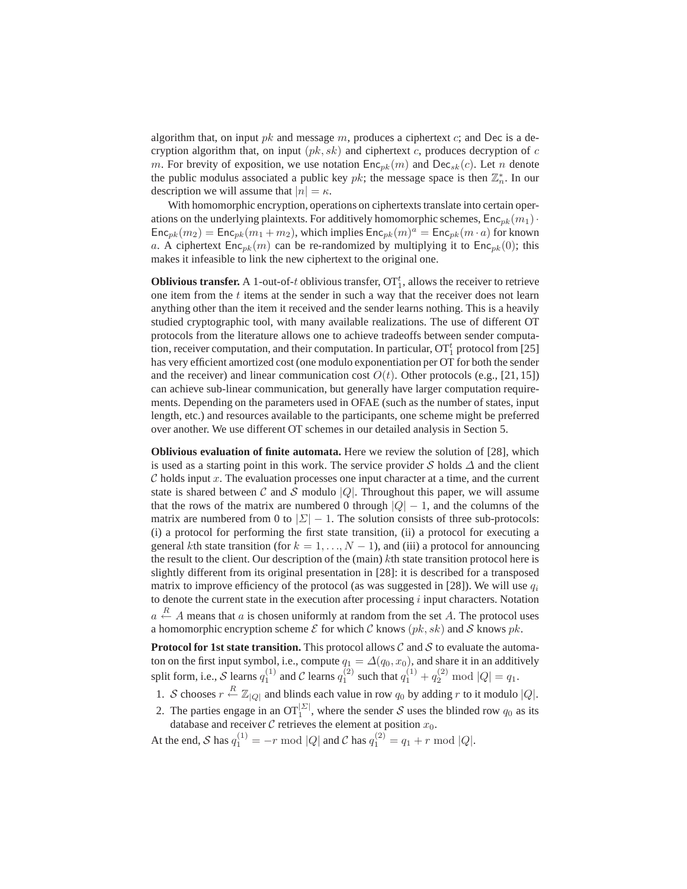algorithm that, on input pk and message m, produces a ciphertext c; and Dec is a decryption algorithm that, on input  $(pk, sk)$  and ciphertext c, produces decryption of c m. For brevity of exposition, we use notation  $\mathsf{Enc}_{pk}(m)$  and  $\mathsf{Dec}_{sk}(c)$ . Let n denote the public modulus associated a public key pk; the message space is then  $\mathbb{Z}_n^*$ . In our description we will assume that  $|n| = \kappa$ .

With homomorphic encryption, operations on ciphertexts translate into certain operations on the underlying plaintexts. For additively homomorphic schemes,  $Enc_{pk}(m_1)$ .  $\mathsf{Enc}_{pk}(m_2) = \mathsf{Enc}_{pk}(m_1 + m_2)$ , which implies  $\mathsf{Enc}_{pk}(m)^a = \mathsf{Enc}_{pk}(m \cdot a)$  for known a. A ciphertext  $Enc_{pk}(m)$  can be re-randomized by multiplying it to  $Enc_{pk}(0)$ ; this makes it infeasible to link the new ciphertext to the original one.

**Oblivious transfer.** A 1-out-of-t oblivious transfer,  $OT_1^t$ , allows the receiver to retrieve one item from the  $t$  items at the sender in such a way that the receiver does not learn anything other than the item it received and the sender learns nothing. This is a heavily studied cryptographic tool, with many available realizations. The use of different OT protocols from the literature allows one to achieve tradeoffs between sender computation, receiver computation, and their computation. In particular,  $OT_1^t$  protocol from [25] has very efficient amortized cost (one modulo exponentiation per OT for both the sender and the receiver) and linear communication cost  $O(t)$ . Other protocols (e.g., [21, 15]) can achieve sub-linear communication, but generally have larger computation requirements. Depending on the parameters used in OFAE (such as the number of states, input length, etc.) and resources available to the participants, one scheme might be preferred over another. We use different OT schemes in our detailed analysis in Section 5.

**Oblivious evaluation of finite automata.** Here we review the solution of [28], which is used as a starting point in this work. The service provider S holds  $\Delta$  and the client  $\mathcal C$  holds input x. The evaluation processes one input character at a time, and the current state is shared between C and S modulo |Q|. Throughout this paper, we will assume that the rows of the matrix are numbered 0 through  $|Q| - 1$ , and the columns of the matrix are numbered from 0 to  $|\Sigma| - 1$ . The solution consists of three sub-protocols: (i) a protocol for performing the first state transition, (ii) a protocol for executing a general kth state transition (for  $k = 1, ..., N - 1$ ), and (iii) a protocol for announcing the result to the client. Our description of the (main) kth state transition protocol here is slightly different from its original presentation in [28]: it is described for a transposed matrix to improve efficiency of the protocol (as was suggested in [28]). We will use  $q_i$ to denote the current state in the execution after processing  $i$  input characters. Notation

 $a \stackrel{R}{\leftarrow} A$  means that a is chosen uniformly at random from the set A. The protocol uses a homomorphic encryption scheme  $\mathcal E$  for which  $\mathcal C$  knows  $(pk, sk)$  and  $\mathcal S$  knows  $pk$ .

**Protocol for 1st state transition.** This protocol allows  $C$  and  $S$  to evaluate the automaton on the first input symbol, i.e., compute  $q_1 = \Delta(q_0, x_0)$ , and share it in an additively split form, i.e., S learns  $q_1^{(1)}$  and C learns  $q_1^{(2)}$  such that  $q_1^{(1)} + q_2^{(2)}$  mod  $|Q| = q_1$ .

- 1. S chooses  $r \stackrel{R}{\leftarrow} \mathbb{Z}_{|Q|}$  and blinds each value in row  $q_0$  by adding r to it modulo  $|Q|$ .
- 2. The parties engage in an  $\text{OT}_1^{\vert \Sigma \vert}$ , where the sender S uses the blinded row  $q_0$  as its database and receiver  $C$  retrieves the element at position  $x_0$ .

At the end, S has  $q_1^{(1)} = -r \mod |Q|$  and C has  $q_1^{(2)} = q_1 + r \mod |Q|$ .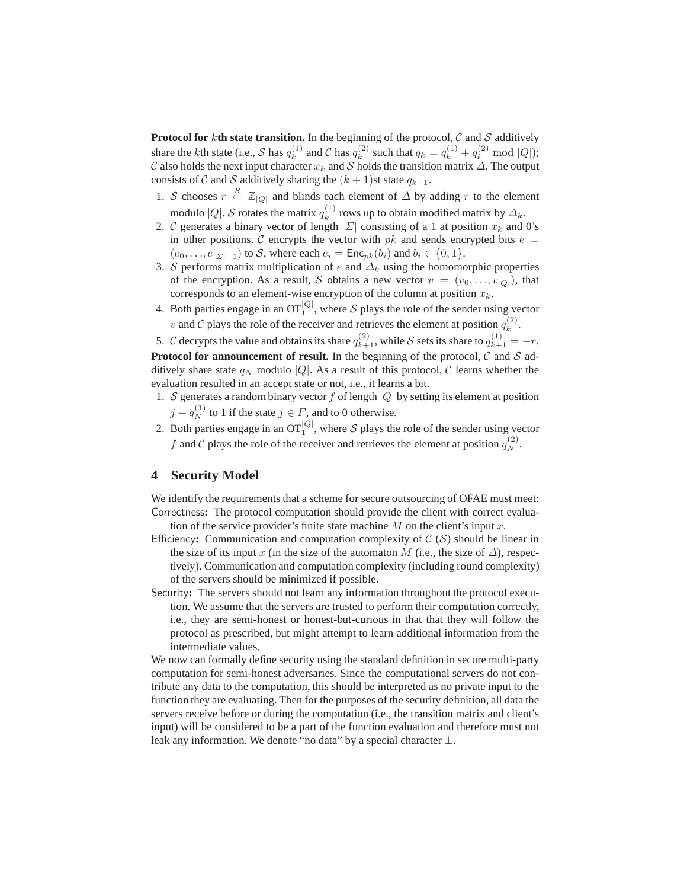**Protocol for** kth state transition. In the beginning of the protocol,  $C$  and  $S$  additively share the kth state (i.e., S has  $q_k^{(1)}$  and C has  $q_k^{(2)}$  such that  $q_k = q_k^{(1)} + q_k^{(2)} \mod |Q|$ ); C also holds the next input character  $x_k$  and S holds the transition matrix  $\Delta$ . The output consists of C and S additively sharing the  $(k + 1)$ st state  $q_{k+1}$ .

- 1. S chooses  $r \stackrel{R}{\leftarrow} \mathbb{Z}_{|Q|}$  and blinds each element of  $\Delta$  by adding r to the element modulo |Q|. S rotates the matrix  $q_k^{(1)}$  rows up to obtain modified matrix by  $\Delta_k$ .
- 2. C generates a binary vector of length  $|\Sigma|$  consisting of a 1 at position  $x_k$  and 0's in other positions. C encrypts the vector with  $pk$  and sends encrypted bits  $e =$  $(e_0, \ldots, e_{|\Sigma|-1})$  to S, where each  $e_i = \text{Enc}_{pk}(b_i)$  and  $b_i \in \{0, 1\}.$
- 3. S performs matrix multiplication of e and  $\Delta_k$  using the homomorphic properties of the encryption. As a result, S obtains a new vector  $v = (v_0, \ldots, v_{|O|})$ , that corresponds to an element-wise encryption of the column at position  $x_k$ .
- 4. Both parties engage in an OT<sup>[Q]</sup>, where S plays the role of the sender using vector v and C plays the role of the receiver and retrieves the element at position  $q_k^{(2)}$ .
- 5. C decrypts the value and obtains its share  $q_{k+1}^{(2)}$ , while S sets its share to  $q_{k+1}^{(1)} = -r$ .

**Protocol for announcement of result.** In the beginning of the protocol,  $C$  and  $S$  additively share state  $q_N$  modulo |Q|. As a result of this protocol, C learns whether the evaluation resulted in an accept state or not, i.e., it learns a bit.

- 1. S generates a random binary vector f of length  $|Q|$  by setting its element at position  $j + q_N^{(1)}$  to 1 if the state  $j \in F$ , and to 0 otherwise.
- 2. Both parties engage in an OT<sup>[Q]</sup>, where S plays the role of the sender using vector f and C plays the role of the receiver and retrieves the element at position  $q_N^{(2)}$ .

### **4 Security Model**

We identify the requirements that a scheme for secure outsourcing of OFAE must meet: Correctness**:** The protocol computation should provide the client with correct evaluation of the service provider's finite state machine  $M$  on the client's input  $x$ .

- Efficiency: Communication and computation complexity of  $\mathcal{C}(\mathcal{S})$  should be linear in the size of its input x (in the size of the automaton M (i.e., the size of  $\Delta$ ), respectively). Communication and computation complexity (including round complexity) of the servers should be minimized if possible.
- Security**:** The servers should not learn any information throughout the protocol execution. We assume that the servers are trusted to perform their computation correctly, i.e., they are semi-honest or honest-but-curious in that that they will follow the protocol as prescribed, but might attempt to learn additional information from the intermediate values.

We now can formally define security using the standard definition in secure multi-party computation for semi-honest adversaries. Since the computational servers do not contribute any data to the computation, this should be interpreted as no private input to the function they are evaluating. Then for the purposes of the security definition, all data the servers receive before or during the computation (i.e., the transition matrix and client's input) will be considered to be a part of the function evaluation and therefore must not leak any information. We denote "no data" by a special character ⊥.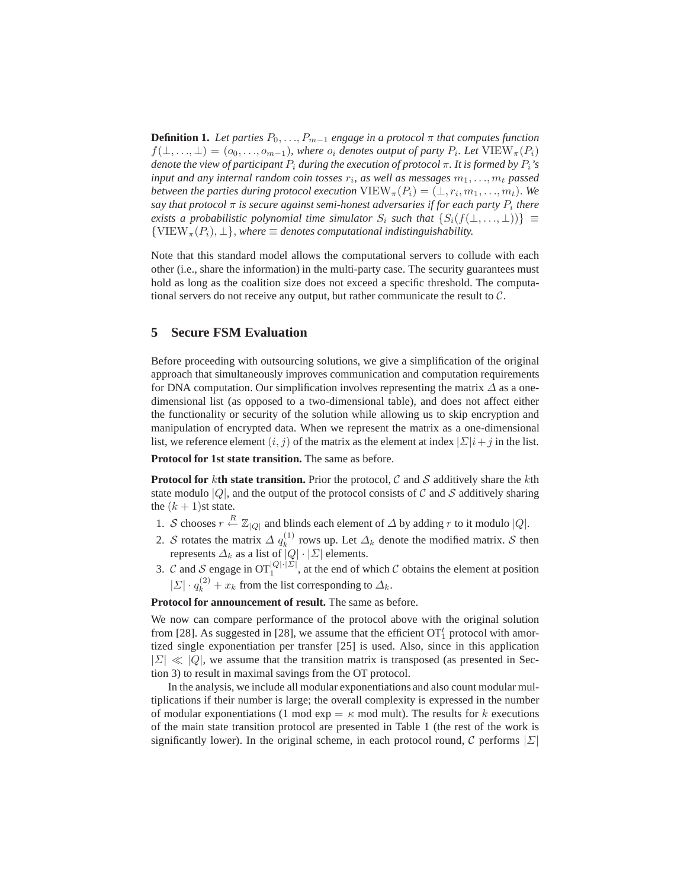**Definition 1.** *Let parties*  $P_0, \ldots, P_{m-1}$  *engage in a protocol*  $\pi$  *that computes function*  $f(\perp,...,\perp) = (o_0,...,o_{m-1})$ , where  $o_i$  denotes output of party  $P_i$ . Let  $\text{VIEW}_{\pi}(P_i)$ *denote the view of participant*  $P_i$  *during the execution of protocol*  $\pi$ *. It is formed by*  $P_i$ *'s*  $i$ nput and any internal random coin tosses  $r_i$ , as well as messages  $m_1, \ldots, m_t$  passed *between the parties during protocol execution*  $\mathrm{VIEW}_{\pi}(P_i) = (\perp, r_i, m_1, \ldots, m_t)$ . *We*  $s$ ay that protocol  $\pi$  is secure against semi-honest adversaries if for each party  $P_i$  there *exists a probabilistic polynomial time simulator*  $S_i$  *such that*  $\{S_i(f(\bot, \ldots, \bot))\} \equiv$  ${VIEW_{\pi}(P_i), \perp}$ , *where*  $\equiv$  *denotes computational indistinguishability.* 

Note that this standard model allows the computational servers to collude with each other (i.e., share the information) in the multi-party case. The security guarantees must hold as long as the coalition size does not exceed a specific threshold. The computational servers do not receive any output, but rather communicate the result to  $C$ .

# **5 Secure FSM Evaluation**

Before proceeding with outsourcing solutions, we give a simplification of the original approach that simultaneously improves communication and computation requirements for DNA computation. Our simplification involves representing the matrix  $\Delta$  as a onedimensional list (as opposed to a two-dimensional table), and does not affect either the functionality or security of the solution while allowing us to skip encryption and manipulation of encrypted data. When we represent the matrix as a one-dimensional list, we reference element  $(i, j)$  of the matrix as the element at index  $|\Sigma|i+j$  in the list.

**Protocol for 1st state transition.** The same as before.

**Protocol for** kth state transition. Prior the protocol, C and S additively share the kth state modulo  $|Q|$ , and the output of the protocol consists of C and S additively sharing the  $(k + 1)$ st state.

- 1. S chooses  $r \stackrel{R}{\leftarrow} \mathbb{Z}_{|Q|}$  and blinds each element of  $\Delta$  by adding r to it modulo  $|Q|$ .
- 2. S rotates the matrix  $\Delta q_k^{(1)}$  rows up. Let  $\Delta_k$  denote the modified matrix. S then represents  $\Delta_k$  as a list of  $|Q| \cdot |\Sigma|$  elements.
- 3. C and S engage in  $\text{OT}_1^{|Q|\cdot |\Sigma|}$ , at the end of which C obtains the element at position  $|\Sigma| \cdot q_k^{(2)} + x_k$  from the list corresponding to  $\Delta_k$ .

## **Protocol for announcement of result.** The same as before.

We now can compare performance of the protocol above with the original solution from [28]. As suggested in [28], we assume that the efficient  $\mathrm{OT}_1^t$  protocol with amortized single exponentiation per transfer [25] is used. Also, since in this application  $|\Sigma| \ll |Q|$ , we assume that the transition matrix is transposed (as presented in Section 3) to result in maximal savings from the OT protocol.

In the analysis, we include all modular exponentiations and also count modular multiplications if their number is large; the overall complexity is expressed in the number of modular exponentiations (1 mod exp =  $\kappa$  mod mult). The results for k executions of the main state transition protocol are presented in Table 1 (the rest of the work is significantly lower). In the original scheme, in each protocol round,  $\mathcal C$  performs  $|\mathcal \Sigma|$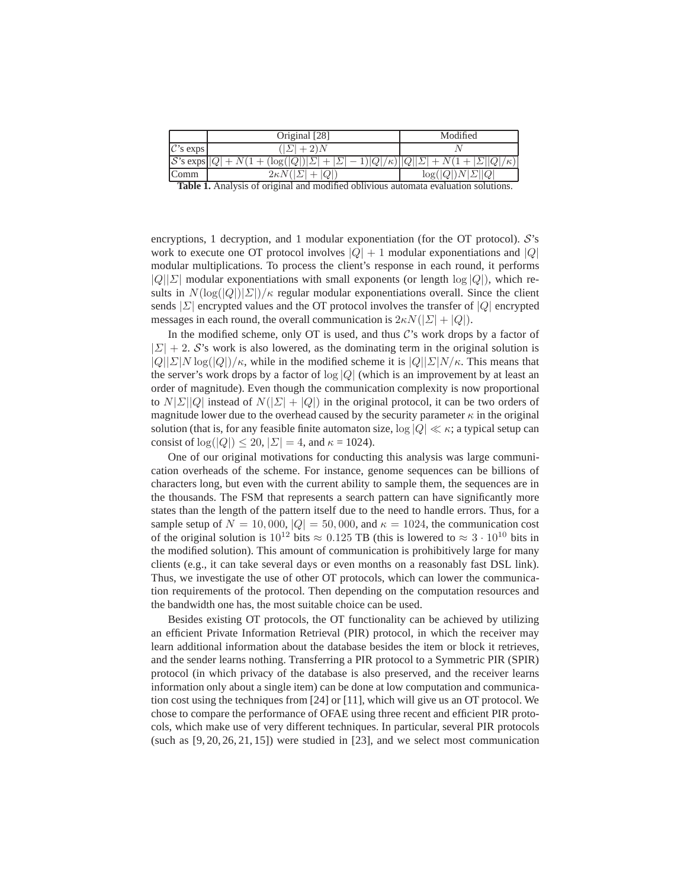|                       | Original [28]                                                                                                    | Modified                |
|-----------------------|------------------------------------------------------------------------------------------------------------------|-------------------------|
| $\mathcal{C}$ 's exps | $ \Sigma +2)N$                                                                                                   |                         |
|                       | $ S$ 's exps $  Q  + N(1 + (\log( Q ) \Sigma  +  \Sigma -1) Q /\kappa)  Q  \Sigma  + N(1 +  \Sigma  Q /\kappa))$ |                         |
| Comm                  | $2\kappa N( \Sigma + Q )$                                                                                        | $\log( Q )N \Sigma  Q $ |

**Table 1.** Analysis of original and modified oblivious automata evaluation solutions.

encryptions, 1 decryption, and 1 modular exponentiation (for the OT protocol).  $S$ 's work to execute one OT protocol involves  $|Q| + 1$  modular exponentiations and  $|Q|$ modular multiplications. To process the client's response in each round, it performs  $|Q||\Sigma|$  modular exponentiations with small exponents (or length  $log |Q|$ ), which results in  $N(\log(|Q|)|\Sigma|)/\kappa$  regular modular exponentiations overall. Since the client sends  $|\Sigma|$  encrypted values and the OT protocol involves the transfer of  $|Q|$  encrypted messages in each round, the overall communication is  $2\kappa N(|\mathcal{E}| + |Q|)$ .

In the modified scheme, only  $\overline{OT}$  is used, and thus  $\mathcal{C}$ 's work drops by a factor of  $|\Sigma| + 2$ . S's work is also lowered, as the dominating term in the original solution is  $|Q||\Sigma|N \log(|Q|)/\kappa$ , while in the modified scheme it is  $|Q||\Sigma|N/\kappa$ . This means that the server's work drops by a factor of  $\log |Q|$  (which is an improvement by at least an order of magnitude). Even though the communication complexity is now proportional to  $N[\Sigma][Q]$  instead of  $N(|\Sigma| + |Q|)$  in the original protocol, it can be two orders of magnitude lower due to the overhead caused by the security parameter  $\kappa$  in the original solution (that is, for any feasible finite automaton size,  $\log |Q| \ll \kappa$ ; a typical setup can consist of  $log(|Q|) \le 20$ ,  $|\Sigma| = 4$ , and  $\kappa = 1024$ ).

One of our original motivations for conducting this analysis was large communication overheads of the scheme. For instance, genome sequences can be billions of characters long, but even with the current ability to sample them, the sequences are in the thousands. The FSM that represents a search pattern can have significantly more states than the length of the pattern itself due to the need to handle errors. Thus, for a sample setup of  $N = 10,000, |Q| = 50,000$ , and  $\kappa = 1024$ , the communication cost of the original solution is  $10^{12}$  bits  $\approx 0.125$  TB (this is lowered to  $\approx 3 \cdot 10^{10}$  bits in the modified solution). This amount of communication is prohibitively large for many clients (e.g., it can take several days or even months on a reasonably fast DSL link). Thus, we investigate the use of other OT protocols, which can lower the communication requirements of the protocol. Then depending on the computation resources and the bandwidth one has, the most suitable choice can be used.

Besides existing OT protocols, the OT functionality can be achieved by utilizing an efficient Private Information Retrieval (PIR) protocol, in which the receiver may learn additional information about the database besides the item or block it retrieves, and the sender learns nothing. Transferring a PIR protocol to a Symmetric PIR (SPIR) protocol (in which privacy of the database is also preserved, and the receiver learns information only about a single item) can be done at low computation and communication cost using the techniques from [24] or [11], which will give us an OT protocol. We chose to compare the performance of OFAE using three recent and efficient PIR protocols, which make use of very different techniques. In particular, several PIR protocols (such as [9, 20, 26, 21, 15]) were studied in [23], and we select most communication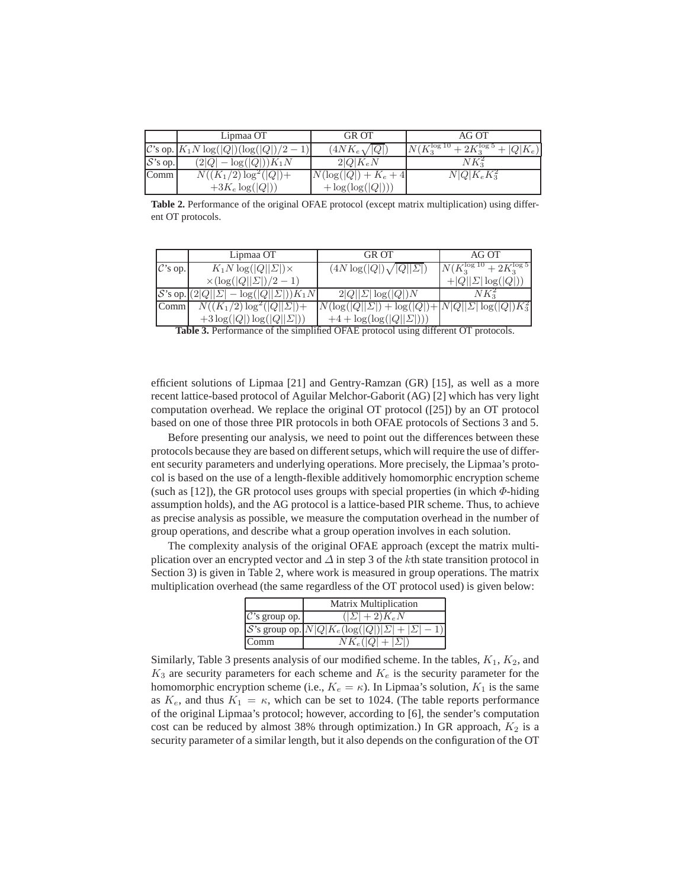|            | Lipmaa OT                                  | <b>GR OT</b>             | AG OT                                                 |
|------------|--------------------------------------------|--------------------------|-------------------------------------------------------|
|            | C's op. $K_1 N \log( Q )(\log( Q )/2 - 1)$ | $(4NK_e\sqrt{ Q })$      | $N(K_3^{\log 10})$<br>$+$ $2K_2^{\log 5}$<br>$ Q K_e$ |
| $S$ 's op. | $(2 Q  - \log( Q ))K_1N$                   | $2 Q K_eN$               | $NK^2_3$                                              |
| Comm       | $N((K_1/2) \log^2( Q ) +$                  | $N(\log( Q ) + K_e + 4)$ | $N Q K_eK_3^2$                                        |
|            | $+3K_e \log( Q )$                          | $+\log(\log( Q )))$      |                                                       |

**Table 2.** Performance of the original OFAE protocol (except matrix multiplication) using different OT protocols.

|                      | Lipmaa OT                                             | <b>GR OT</b>                                                                | AG OT                              |
|----------------------|-------------------------------------------------------|-----------------------------------------------------------------------------|------------------------------------|
| $\mathcal{C}$ 's op. | $K_1N\log( Q  \Sigma )\times$                         | $(4N \log( Q )\sqrt{ Q  \Sigma })$                                          | $N(K_3^{\log 10} + 2K_3^{\log 5})$ |
|                      | $\times(\log( Q  \Sigma )/2-1)$                       |                                                                             | $+ Q  \Sigma \log( Q )$            |
|                      | $S$ 's op. $ (2 Q  \Sigma  - \log( Q  \Sigma ))K_1N $ | $2 Q  \Sigma \log( Q )N$                                                    | $NK_2^2$                           |
| Comm                 | $N((K_1/2) \log^2( Q  \Sigma )+$                      | $N(\log( Q  \mathcal{L} ) + \log( Q ) +  N Q  \mathcal{L}  \log( Q )K_3^2)$ |                                    |
|                      | $+3\log( Q )\log( Q  \Sigma ))$                       | $+4 + \log(\log( Q  \Sigma )))$                                             |                                    |

**Table 3.** Performance of the simplified OFAE protocol using different OT protocols.

efficient solutions of Lipmaa [21] and Gentry-Ramzan (GR) [15], as well as a more recent lattice-based protocol of Aguilar Melchor-Gaborit (AG) [2] which has very light computation overhead. We replace the original OT protocol ([25]) by an OT protocol based on one of those three PIR protocols in both OFAE protocols of Sections 3 and 5.

Before presenting our analysis, we need to point out the differences between these protocols because they are based on different setups, which will require the use of different security parameters and underlying operations. More precisely, the Lipmaa's protocol is based on the use of a length-flexible additively homomorphic encryption scheme (such as [12]), the GR protocol uses groups with special properties (in which  $\Phi$ -hiding assumption holds), and the AG protocol is a lattice-based PIR scheme. Thus, to achieve as precise analysis as possible, we measure the computation overhead in the number of group operations, and describe what a group operation involves in each solution.

The complexity analysis of the original OFAE approach (except the matrix multiplication over an encrypted vector and  $\Delta$  in step 3 of the kth state transition protocol in Section 3) is given in Table 2, where work is measured in group operations. The matrix multiplication overhead (the same regardless of the OT protocol used) is given below:

| $( \Sigma +2)K_eN$<br>$\mathcal{C}$ 's group op.       |  |
|--------------------------------------------------------|--|
|                                                        |  |
| S's group op. $ N Q K_e(\log( Q ) \Sigma + \Sigma -1)$ |  |
| $NK_e( Q + \Sigma )$<br>Comm                           |  |

Similarly, Table 3 presents analysis of our modified scheme. In the tables,  $K_1$ ,  $K_2$ , and  $K_3$  are security parameters for each scheme and  $K_e$  is the security parameter for the homomorphic encryption scheme (i.e.,  $K_e = \kappa$ ). In Lipmaa's solution,  $K_1$  is the same as  $K_e$ , and thus  $K_1 = \kappa$ , which can be set to 1024. (The table reports performance of the original Lipmaa's protocol; however, according to [6], the sender's computation cost can be reduced by almost 38% through optimization.) In GR approach,  $K_2$  is a security parameter of a similar length, but it also depends on the configuration of the OT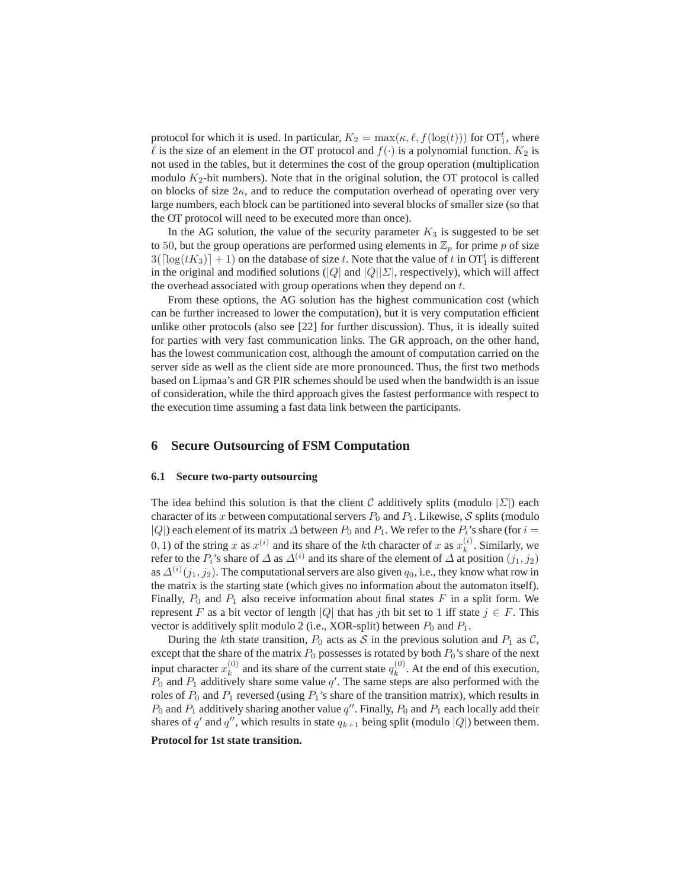protocol for which it is used. In particular,  $K_2 = \max(\kappa, \ell, f(\log(t)))$  for  $\text{OT}_1^t$ , where  $\ell$  is the size of an element in the OT protocol and  $f(\cdot)$  is a polynomial function.  $K_2$  is not used in the tables, but it determines the cost of the group operation (multiplication modulo  $K_2$ -bit numbers). Note that in the original solution, the OT protocol is called on blocks of size  $2\kappa$ , and to reduce the computation overhead of operating over very large numbers, each block can be partitioned into several blocks of smaller size (so that the OT protocol will need to be executed more than once).

In the AG solution, the value of the security parameter  $K_3$  is suggested to be set to 50, but the group operations are performed using elements in  $\mathbb{Z}_p$  for prime p of size  $3(\lceil \log(tK_3) \rceil + 1)$  on the database of size t. Note that the value of t in OT<sub>1</sub> is different in the original and modified solutions ( $|Q|$  and  $|Q||\Sigma|$ , respectively), which will affect the overhead associated with group operations when they depend on  $t$ .

From these options, the AG solution has the highest communication cost (which can be further increased to lower the computation), but it is very computation efficient unlike other protocols (also see [22] for further discussion). Thus, it is ideally suited for parties with very fast communication links. The GR approach, on the other hand, has the lowest communication cost, although the amount of computation carried on the server side as well as the client side are more pronounced. Thus, the first two methods based on Lipmaa's and GR PIR schemes should be used when the bandwidth is an issue of consideration, while the third approach gives the fastest performance with respect to the execution time assuming a fast data link between the participants.

## **6 Secure Outsourcing of FSM Computation**

#### **6.1 Secure two-party outsourcing**

The idea behind this solution is that the client C additively splits (modulo  $|\Sigma|$ ) each character of its x between computational servers  $P_0$  and  $P_1$ . Likewise, S splits (modulo  $|Q|$ ) each element of its matrix  $\Delta$  between  $P_0$  and  $P_1$ . We refer to the  $P_i$ 's share (for  $i =$ 0, 1) of the string x as  $x^{(i)}$  and its share of the kth character of x as  $x_k^{(i)}$ . Similarly, we refer to the  $P_i$ 's share of  $\Delta$  as  $\Delta^{(i)}$  and its share of the element of  $\Delta$  at position  $(j_1, j_2)$ as  $\Delta^{(i)}(j_1, j_2)$ . The computational servers are also given  $q_0$ , i.e., they know what row in the matrix is the starting state (which gives no information about the automaton itself). Finally,  $P_0$  and  $P_1$  also receive information about final states F in a split form. We represent F as a bit vector of length |Q| that has jth bit set to 1 iff state  $j \in F$ . This vector is additively split modulo 2 (i.e., XOR-split) between  $P_0$  and  $P_1$ .

During the kth state transition,  $P_0$  acts as S in the previous solution and  $P_1$  as C, except that the share of the matrix  $P_0$  possesses is rotated by both  $P_0$ 's share of the next input character  $x_k^{(0)}$  and its share of the current state  $q_k^{(0)}$ . At the end of this execution,  $P_0$  and  $P_1$  additively share some value  $q'$ . The same steps are also performed with the roles of  $P_0$  and  $P_1$  reversed (using  $P_1$ 's share of the transition matrix), which results in  $P_0$  and  $P_1$  additively sharing another value  $q''$ . Finally,  $P_0$  and  $P_1$  each locally add their shares of q' and q'', which results in state  $q_{k+1}$  being split (modulo |Q|) between them.

**Protocol for 1st state transition.**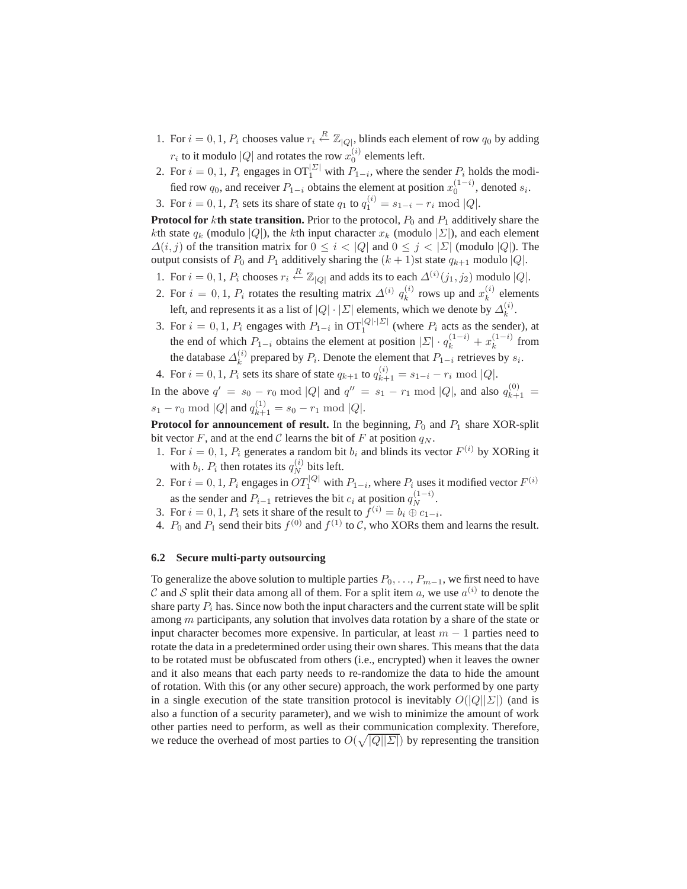- 1. For  $i = 0, 1, P_i$  chooses value  $r_i \stackrel{R}{\leftarrow} \mathbb{Z}_{|Q|}$ , blinds each element of row  $q_0$  by adding  $r_i$  to it modulo |Q| and rotates the row  $x_0^{(i)}$  elements left.
- 2. For  $i = 0, 1, P_i$  engages in  $\text{OT}_1^{\vert \Sigma \vert}$  with  $P_{1-i}$ , where the sender  $P_i$  holds the modified row  $q_0$ , and receiver  $P_{1-i}$  obtains the element at position  $x_0^{(1-i)}$ , denoted  $s_i$ .

3. For  $i = 0, 1, P_i$  sets its share of state  $q_1$  to  $q_1^{(i)} = s_{1-i} - r_i \mod |Q|$ .

**Protocol for** kth state transition. Prior to the protocol,  $P_0$  and  $P_1$  additively share the kth state  $q_k$  (modulo |Q|), the kth input character  $x_k$  (modulo  $|\Sigma|$ ), and each element  $\Delta(i, j)$  of the transition matrix for  $0 \leq i < |Q|$  and  $0 \leq j < |\Sigma|$  (modulo  $|Q|$ ). The output consists of  $P_0$  and  $P_1$  additively sharing the  $(k + 1)$ st state  $q_{k+1}$  modulo |Q|.

- 1. For  $i = 0, 1, P_i$  chooses  $r_i \stackrel{R}{\leftarrow} \mathbb{Z}_{|Q|}$  and adds its to each  $\Delta^{(i)}(j_1, j_2)$  modulo  $|Q|$ .
- 2. For  $i = 0, 1, P_i$  rotates the resulting matrix  $\Delta^{(i)} q_k^{(i)}$  $\binom{i}{k}$  rows up and  $x_k^{(i)}$  $k^{(i)}$  elements left, and represents it as a list of  $|Q| \cdot |\Sigma|$  elements, which we denote by  $\Delta_k^{(i)}$ .
- 3. For  $i = 0, 1, P_i$  engages with  $P_{1-i}$  in  $\text{OT}_1^{|Q| \cdot | \Sigma|}$  (where  $P_i$  acts as the sender), at the end of which  $P_{1-i}$  obtains the element at position  $|\mathcal{L}| \cdot q_k^{(1-i)} + x_k^{(1-i)}$  from the database  $\Delta_k^{(i)}$  prepared by  $P_i$ . Denote the element that  $P_{1-i}$  retrieves by  $s_i$ .
- 4. For  $i = 0, 1, P_i$  sets its share of state  $q_{k+1}$  to  $q_{k+1}^{(i)} = s_{1-i} r_i \mod |Q|$ .

In the above  $q' = s_0 - r_0 \mod |Q|$  and  $q'' = s_1 - r_1 \mod |Q|$ , and also  $q_{k+1}^{(0)} =$  $s_1 - r_0 \mod |Q|$  and  $q_{k+1}^{(1)} = s_0 - r_1 \mod |Q|$ .

**Protocol for announcement of result.** In the beginning,  $P_0$  and  $P_1$  share XOR-split bit vector F, and at the end C learns the bit of F at position  $q_N$ .

- 1. For  $i = 0, 1, P_i$  generates a random bit  $b_i$  and blinds its vector  $F^{(i)}$  by XORing it with  $b_i$ .  $P_i$  then rotates its  $q_N^{(i)}$  bits left.
- 2. For  $i = 0, 1, P_i$  engages in  $OT_1^{|Q|}$  with  $P_{1-i}$ , where  $P_i$  uses it modified vector  $F^{(i)}$ as the sender and  $P_{i-1}$  retrieves the bit  $c_i$  at position  $q_N^{(1-i)}$ .
- 3. For  $i = 0, 1, P_i$  sets it share of the result to  $f^{(i)} = b_i \oplus c_{1-i}$ .
- 4.  $P_0$  and  $P_1$  send their bits  $f^{(0)}$  and  $f^{(1)}$  to C, who XORs them and learns the result.

#### **6.2 Secure multi-party outsourcing**

To generalize the above solution to multiple parties  $P_0, \ldots, P_{m-1}$ , we first need to have C and S split their data among all of them. For a split item a, we use  $a^{(i)}$  to denote the share party  $P_i$  has. Since now both the input characters and the current state will be split among m participants, any solution that involves data rotation by a share of the state or input character becomes more expensive. In particular, at least  $m - 1$  parties need to rotate the data in a predetermined order using their own shares. This means that the data to be rotated must be obfuscated from others (i.e., encrypted) when it leaves the owner and it also means that each party needs to re-randomize the data to hide the amount of rotation. With this (or any other secure) approach, the work performed by one party in a single execution of the state transition protocol is inevitably  $O(|Q||\Sigma|)$  (and is also a function of a security parameter), and we wish to minimize the amount of work other parties need to perform, as well as their communication complexity. Therefore, we reduce the overhead of most parties to  $O(\sqrt{|Q||\Sigma|})$  by representing the transition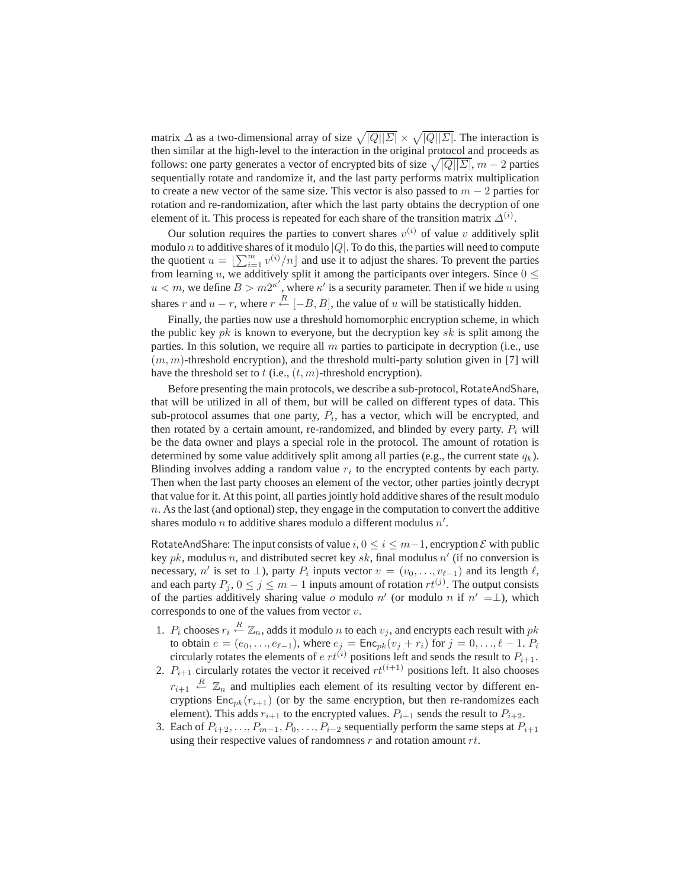matrix  $\Delta$  as a two-dimensional array of size  $\sqrt{|Q||\Sigma|} \times \sqrt{|Q||\Sigma|}$ . The interaction is then similar at the high-level to the interaction in the original protocol and proceeds as follows: one party generates a vector of encrypted bits of size  $\sqrt{|Q||\Sigma|}$ ,  $m - 2$  parties sequentially rotate and randomize it, and the last party performs matrix multiplication to create a new vector of the same size. This vector is also passed to  $m - 2$  parties for rotation and re-randomization, after which the last party obtains the decryption of one element of it. This process is repeated for each share of the transition matrix  $\Delta^{(i)}$ .

Our solution requires the parties to convert shares  $v^{(i)}$  of value v additively split modulo n to additive shares of it modulo  $|Q|$ . To do this, the parties will need to compute the quotient  $u = \left[\sum_{i=1}^{m} v^{(i)}/n\right]$  and use it to adjust the shares. To prevent the parties from learning u, we additively split it among the participants over integers. Since  $0 \leq$  $u < m$ , we define  $B > m2^{\kappa'}$ , where  $\kappa'$  is a security parameter. Then if we hide u using shares r and  $u - r$ , where  $r \stackrel{R}{\leftarrow} [-B, B]$ , the value of u will be statistically hidden.

Finally, the parties now use a threshold homomorphic encryption scheme, in which the public key  $pk$  is known to everyone, but the decryption key  $sk$  is split among the parties. In this solution, we require all  $m$  parties to participate in decryption (i.e., use  $(m, m)$ -threshold encryption), and the threshold multi-party solution given in [7] will have the threshold set to t (i.e.,  $(t, m)$ -threshold encryption).

Before presenting the main protocols, we describe a sub-protocol, RotateAndShare, that will be utilized in all of them, but will be called on different types of data. This sub-protocol assumes that one party,  $P_i$ , has a vector, which will be encrypted, and then rotated by a certain amount, re-randomized, and blinded by every party.  $P_i$  will be the data owner and plays a special role in the protocol. The amount of rotation is determined by some value additively split among all parties (e.g., the current state  $q_k$ ). Blinding involves adding a random value  $r_i$  to the encrypted contents by each party. Then when the last party chooses an element of the vector, other parties jointly decrypt that value for it. At this point, all parties jointly hold additive shares of the result modulo  $n.$  As the last (and optional) step, they engage in the computation to convert the additive shares modulo  $n$  to additive shares modulo a different modulus  $n'$ .

RotateAndShare: The input consists of value  $i, 0 \le i \le m-1$ , encryption E with public key  $pk$ , modulus n, and distributed secret key  $sk$ , final modulus  $n'$  (if no conversion is necessary, n' is set to  $\bot$ ), party  $P_i$  inputs vector  $v = (v_0, \ldots, v_{\ell-1})$  and its length  $\ell$ , and each party  $P_j$ ,  $0 \le j \le m-1$  inputs amount of rotation  $rt^{(j)}$ . The output consists of the parties additively sharing value  $o$  modulo  $n'$  (or modulo  $n$  if  $n' = \perp$ ), which corresponds to one of the values from vector v.

- 1.  $P_i$  chooses  $r_i \stackrel{R}{\leftarrow} \mathbb{Z}_n$ , adds it modulo n to each  $v_j$ , and encrypts each result with  $pk$ to obtain  $e = (e_0, ..., e_{\ell-1})$ , where  $e_j = \text{Enc}_{pk}(v_j + r_i)$  for  $j = 0, ..., \ell - 1$ .  $P_i$ circularly rotates the elements of e  $rt^{(i)}$  positions left and sends the result to  $P_{i+1}$ .
- 2.  $P_{i+1}$  circularly rotates the vector it received  $rt^{(i+1)}$  positions left. It also chooses  $r_{i+1} \stackrel{R}{\leftarrow} \mathbb{Z}_n$  and multiplies each element of its resulting vector by different encryptions  $Enc_{pk}(r_{i+1})$  (or by the same encryption, but then re-randomizes each element). This adds  $r_{i+1}$  to the encrypted values.  $P_{i+1}$  sends the result to  $P_{i+2}$ .
- 3. Each of  $P_{i+2}, \ldots, P_{m-1}, P_0, \ldots, P_{i-2}$  sequentially perform the same steps at  $P_{i+1}$ using their respective values of randomness  $r$  and rotation amount  $rt$ .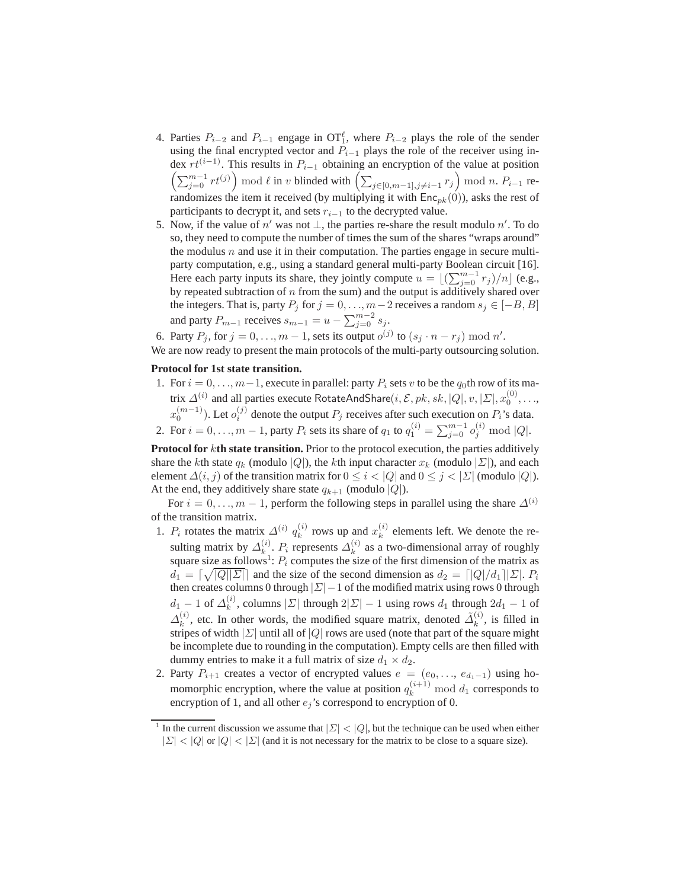- 4. Parties  $P_{i-2}$  and  $P_{i-1}$  engage in OT<sup> $\ell$ </sup>, where  $P_{i-2}$  plays the role of the sender using the final encrypted vector and  $P_{i-1}$  plays the role of the receiver using index  $rt^{(i-1)}$ . This results in  $P_{i-1}$  obtaining an encryption of the value at position  $\left(\sum_{j=0}^{m-1} rt^{(j)}\right) \mod \ell$  in v blinded with  $\left(\sum_{j\in [0,m-1],j\neq i-1} r_j\right) \mod n$ .  $P_{i-1}$  rerandomizes the item it received (by multiplying it with  $\mathsf{Enc}_{pk}(0)$ ), asks the rest of participants to decrypt it, and sets  $r_{i-1}$  to the decrypted value.
- 5. Now, if the value of  $n'$  was not  $\perp$ , the parties re-share the result modulo  $n'$ . To do so, they need to compute the number of times the sum of the shares "wraps around" the modulus  $n$  and use it in their computation. The parties engage in secure multiparty computation, e.g., using a standard general multi-party Boolean circuit [16]. Here each party inputs its share, they jointly compute  $u = \lfloor (\sum_{j=0}^{m-1} r_j)/n \rfloor$  (e.g., by repeated subtraction of  $n$  from the sum) and the output is additively shared over the integers. That is, party  $P_j$  for  $j = 0, \ldots, m-2$  receives a random  $s_j \in [-B, B]$ and party  $P_{m-1}$  receives  $s_{m-1} = u - \sum_{j=0}^{m-2} s_j$ .

6. Party  $P_j$ , for  $j = 0, ..., m - 1$ , sets its output  $o^{(j)}$  to  $(s_j \cdot n - r_j) \bmod n'$ .

We are now ready to present the main protocols of the multi-party outsourcing solution.

## **Protocol for 1st state transition.**

- 1. For  $i = 0, \ldots, m-1$ , execute in parallel: party  $P_i$  sets v to be the  $q_0$ th row of its matrix  $\Delta^{(i)}$  and all parties execute RotateAndShare $(i, \mathcal{E}, pk, sk, |Q|, v, |\Sigma|, x_0^{(0)}, \ldots,$  $x_0^{(m-1)}$ ). Let  $o_i^{(j)}$  denote the output  $P_j$  receives after such execution on  $P_i$ 's data.
- 2. For  $i = 0, ..., m 1$ , party  $P_i$  sets its share of  $q_1$  to  $q_1^{(i)} = \sum_{j=0}^{m-1} o_j^{(i)} \mod |Q|$ .

**Protocol for** k**th state transition.** Prior to the protocol execution, the parties additively share the kth state  $q_k$  (modulo  $|Q|$ ), the kth input character  $x_k$  (modulo  $|\Sigma|$ ), and each element  $\Delta(i, j)$  of the transition matrix for  $0 \leq i < |Q|$  and  $0 \leq j < |\Sigma|$  (modulo  $|Q|$ ). At the end, they additively share state  $q_{k+1}$  (modulo |Q|).

For  $i = 0, \ldots, m - 1$ , perform the following steps in parallel using the share  $\Delta^{(i)}$ of the transition matrix.

- 1.  $P_i$  rotates the matrix  $\Delta^{(i)} q_k^{(i)}$  rows up and  $x_k^{(i)}$  elements left. We denote the resulting matrix by  $\Delta_k^{(i)}$ .  $P_i$  represents  $\Delta_k^{(i)}$  as a two-dimensional array of roughly square size as follows<sup>1</sup>:  $P_i$  computes the size of the first dimension of the matrix as  $d_1 = \lceil \sqrt{|Q||\Sigma|} \rceil$  and the size of the second dimension as  $d_2 = \lceil |Q|/d_1 \rceil |\Sigma|$ .  $P_i$ then creates columns 0 through  $|\Sigma|$  – 1 of the modified matrix using rows 0 through  $d_1 - 1$  of  $\Delta_k^{(i)}$ , columns  $|\Sigma|$  through  $2|\Sigma| - 1$  using rows  $d_1$  through  $2d_1 - 1$  of  $\Delta_k^{(i)}$ , etc. In other words, the modified square matrix, denoted  $\tilde{\Delta}_k^{(i)}$ , is filled in stripes of width  $|\Sigma|$  until all of  $|Q|$  rows are used (note that part of the square might be incomplete due to rounding in the computation). Empty cells are then filled with dummy entries to make it a full matrix of size  $d_1 \times d_2$ .
- 2. Party  $P_{i+1}$  creates a vector of encrypted values  $e = (e_0, \ldots, e_{d_1-1})$  using homomorphic encryption, where the value at position  $q_k^{(i+1)}$  mod  $d_1$  corresponds to encryption of 1, and all other  $e_i$ 's correspond to encryption of 0.

<sup>&</sup>lt;sup>1</sup> In the current discussion we assume that  $|\Sigma| < |Q|$ , but the technique can be used when either  $|\Sigma| < |Q|$  or  $|Q| < |\Sigma|$  (and it is not necessary for the matrix to be close to a square size).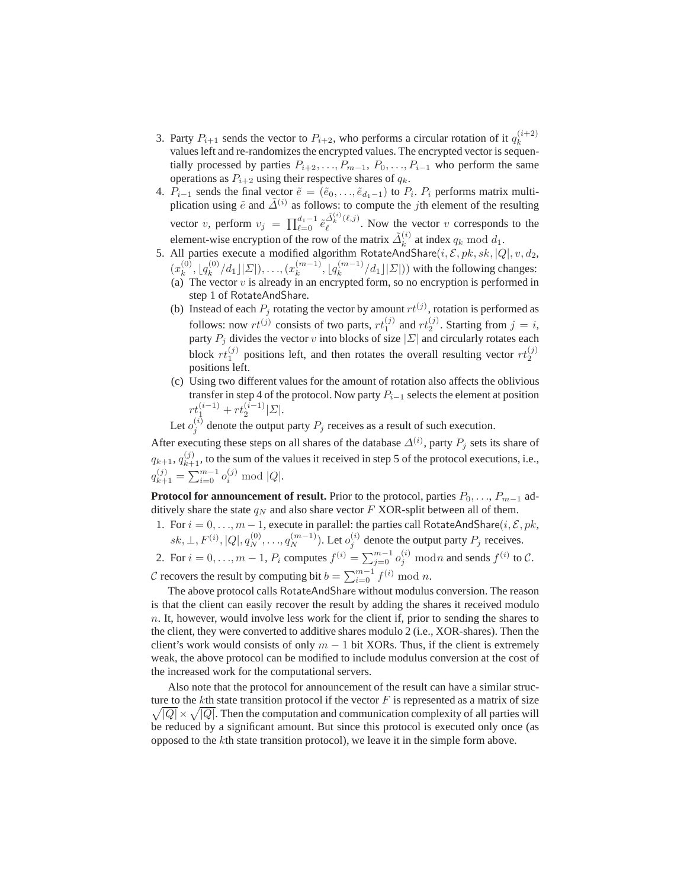- 3. Party  $P_{i+1}$  sends the vector to  $P_{i+2}$ , who performs a circular rotation of it  $q_k^{(i+2)}$ values left and re-randomizes the encrypted values. The encrypted vector is sequentially processed by parties  $P_{i+2}, \ldots, P_{m-1}, P_0, \ldots, P_{i-1}$  who perform the same operations as  $P_{i+2}$  using their respective shares of  $q_k$ .
- 4.  $P_{i-1}$  sends the final vector  $\tilde{e} = (\tilde{e}_0, \ldots, \tilde{e}_{d_1-1})$  to  $P_i$ .  $P_i$  performs matrix multiplication using  $\tilde{e}$  and  $\tilde{\Delta}^{(i)}$  as follows: to compute the *j*th element of the resulting vector v, perform  $v_j = \prod_{\ell=0}^{d_1-1} \tilde{e}_\ell^{\tilde{\Delta}_k^{(i)}(\ell,j)}$  $\mathcal{L}_{\ell}^{(k)}$ . Now the vector v corresponds to the element-wise encryption of the row of the matrix  $\tilde{\Delta}_k^{(i)}$  at index  $q_k \bmod d_1$ .
- 5. All parties execute a modified algorithm RotateAndShare $(i, \mathcal{E}, pk, sk, |Q|, v, d_2,$ 
	- $(x_k^{(0)}, [q_k^{(0)}/d_1] | \Sigma|),..., (x_k^{(m-1)}, [q_k^{(m-1)}/d_1] | \Sigma|))$  with the following changes:
	- (a) The vector  $v$  is already in an encrypted form, so no encryption is performed in step 1 of RotateAndShare.
	- (b) Instead of each  $P_j$  rotating the vector by amount  $rt^{(j)}$ , rotation is performed as follows: now  $rt^{(j)}$  consists of two parts,  $rt_1^{(j)}$  and  $rt_2^{(j)}$ . Starting from  $j = i$ , party  $P_j$  divides the vector v into blocks of size  $|\Sigma|$  and circularly rotates each block  $rt_1^{(j)}$  positions left, and then rotates the overall resulting vector  $rt_2^{(j)}$ positions left.
	- (c) Using two different values for the amount of rotation also affects the oblivious transfer in step 4 of the protocol. Now party  $P_{i-1}$  selects the element at position  $rt_1^{(i-1)} + rt_2^{(i-1)}|\Sigma|.$

Let  $o_j^{(i)}$  denote the output party  $P_j$  receives as a result of such execution.

After executing these steps on all shares of the database  $\Delta^{(i)}$ , party  $P_j$  sets its share of  $q_{k+1}, q_{k+1}^{(j)}$ , to the sum of the values it received in step 5 of the protocol executions, i.e.,  $q_{k+1}^{(j)} = \sum_{i=0}^{m-1} o_i^{(j)} \mod |Q|.$ 

**Protocol for announcement of result.** Prior to the protocol, parties  $P_0, \ldots, P_{m-1}$  additively share the state  $q_N$  and also share vector  $F$  XOR-split between all of them.

- 1. For  $i = 0, \ldots, m 1$ , execute in parallel: the parties call RotateAndShare( $i, \mathcal{E}, pk$ ,  $sk, \perp, F^{(i)}, |Q|, q_N^{(0)}, \ldots, q_N^{(m-1)}$ ). Let  $o_j^{(i)}$  denote the output party  $P_j$  receives.
- 2. For  $i = 0, \ldots, m 1$ ,  $P_i$  computes  $f^{(i)} = \sum_{j=0}^{m-1} o_j^{(i)} \mod n$  and sends  $f^{(i)}$  to  $C$ . C recovers the result by computing bit  $b = \sum_{i=0}^{m-1} f^{(i)} \bmod n$ .

The above protocol calls RotateAndShare without modulus conversion. The reason is that the client can easily recover the result by adding the shares it received modulo  $n.$  It, however, would involve less work for the client if, prior to sending the shares to the client, they were converted to additive shares modulo 2 (i.e., XOR-shares). Then the client's work would consists of only  $m - 1$  bit XORs. Thus, if the client is extremely weak, the above protocol can be modified to include modulus conversion at the cost of the increased work for the computational servers.

Also note that the protocol for announcement of the result can have a similar struc- $\sqrt{|Q|} \times \sqrt{|Q|}$ . Then the computation and communication complexity of all parties will ture to the kth state transition protocol if the vector  $F$  is represented as a matrix of size be reduced by a significant amount. But since this protocol is executed only once (as opposed to the kth state transition protocol), we leave it in the simple form above.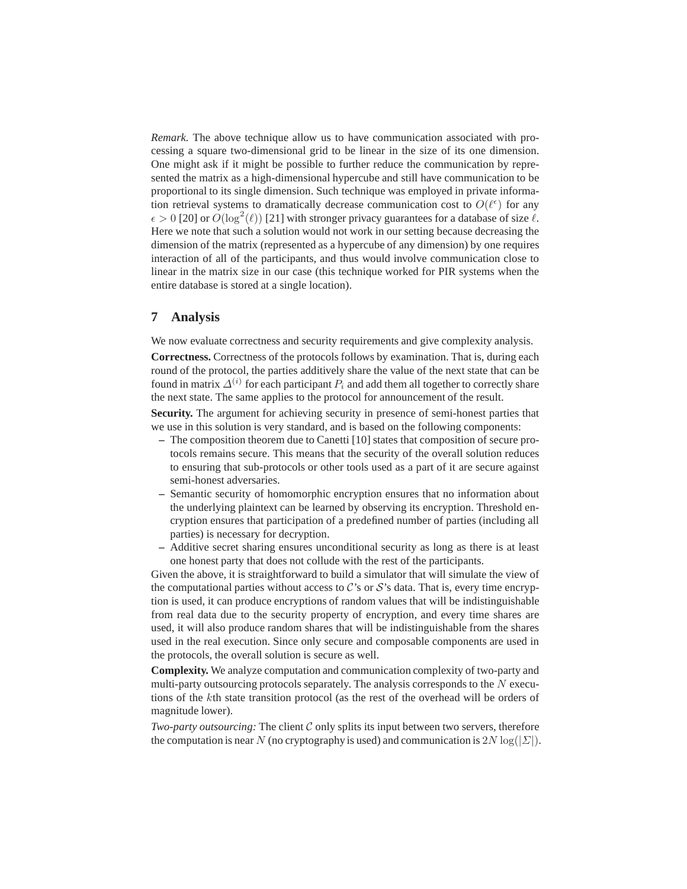*Remark.* The above technique allow us to have communication associated with processing a square two-dimensional grid to be linear in the size of its one dimension. One might ask if it might be possible to further reduce the communication by represented the matrix as a high-dimensional hypercube and still have communication to be proportional to its single dimension. Such technique was employed in private information retrieval systems to dramatically decrease communication cost to  $O(\ell^{\epsilon})$  for any  $\epsilon > 0$  [20] or  $O(\log^2(\ell))$  [21] with stronger privacy guarantees for a database of size  $\ell$ . Here we note that such a solution would not work in our setting because decreasing the dimension of the matrix (represented as a hypercube of any dimension) by one requires interaction of all of the participants, and thus would involve communication close to linear in the matrix size in our case (this technique worked for PIR systems when the entire database is stored at a single location).

# **7 Analysis**

We now evaluate correctness and security requirements and give complexity analysis.

**Correctness.** Correctness of the protocols follows by examination. That is, during each round of the protocol, the parties additively share the value of the next state that can be found in matrix  $\varDelta^{(i)}$  for each participant  $P_i$  and add them all together to correctly share the next state. The same applies to the protocol for announcement of the result.

**Security.** The argument for achieving security in presence of semi-honest parties that we use in this solution is very standard, and is based on the following components:

- **–** The composition theorem due to Canetti [10] states that composition of secure protocols remains secure. This means that the security of the overall solution reduces to ensuring that sub-protocols or other tools used as a part of it are secure against semi-honest adversaries.
- **–** Semantic security of homomorphic encryption ensures that no information about the underlying plaintext can be learned by observing its encryption. Threshold encryption ensures that participation of a predefined number of parties (including all parties) is necessary for decryption.
- **–** Additive secret sharing ensures unconditional security as long as there is at least one honest party that does not collude with the rest of the participants.

Given the above, it is straightforward to build a simulator that will simulate the view of the computational parties without access to C's or S's data. That is, every time encryption is used, it can produce encryptions of random values that will be indistinguishable from real data due to the security property of encryption, and every time shares are used, it will also produce random shares that will be indistinguishable from the shares used in the real execution. Since only secure and composable components are used in the protocols, the overall solution is secure as well.

**Complexity.** We analyze computation and communication complexity of two-party and multi-party outsourcing protocols separately. The analysis corresponds to the  $N$  executions of the kth state transition protocol (as the rest of the overhead will be orders of magnitude lower).

*Two-party outsourcing:* The client  $C$  only splits its input between two servers, therefore the computation is near N (no cryptography is used) and communication is  $2N \log(|\mathcal{L}|)$ .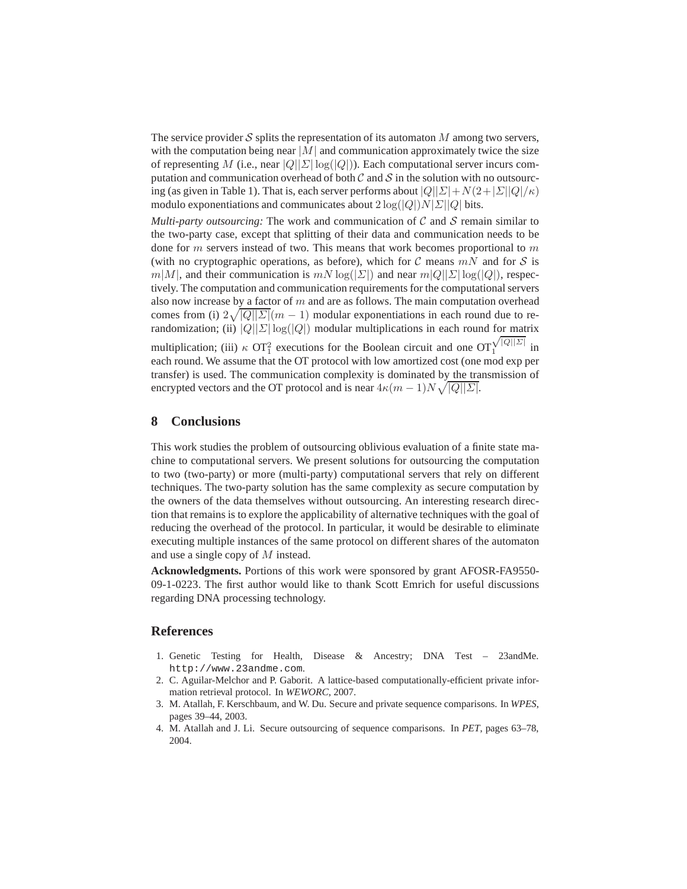The service provider S splits the representation of its automaton M among two servers, with the computation being near  $|M|$  and communication approximately twice the size of representing M (i.e., near  $|Q||\Sigma| \log(|Q|)$ ). Each computational server incurs computation and communication overhead of both  $C$  and  $S$  in the solution with no outsourcing (as given in Table 1). That is, each server performs about  $|Q||\Sigma| + N(2+|\Sigma||Q|/\kappa)$ modulo exponentiations and communicates about  $2 \log(|Q|)N|\Sigma||Q|$  bits.

*Multi-party outsourcing:* The work and communication of  $C$  and  $S$  remain similar to the two-party case, except that splitting of their data and communication needs to be done for m servers instead of two. This means that work becomes proportional to m (with no cryptographic operations, as before), which for C means  $mN$  and for S is  $m|M|$ , and their communication is  $mN \log(|\Sigma|)$  and near  $m|Q||\Sigma| \log(|Q|)$ , respectively. The computation and communication requirements for the computational servers also now increase by a factor of  $m$  and are as follows. The main computation overhead comes from (i)  $2\sqrt{|Q||\Sigma|}(m-1)$  modular exponentiations in each round due to rerandomization; (ii)  $|Q||\Sigma|\log(|Q|)$  modular multiplications in each round for matrix multiplication; (iii)  $\kappa$  OT<sub>1</sub><sup>2</sup> executions for the Boolean circuit and one OT  $\sqrt{|Q||\Sigma|}$  $\frac{v}{1}$  in each round. We assume that the OT protocol with low amortized cost (one mod exp per transfer) is used. The communication complexity is dominated by the transmission of encrypted vectors and the OT protocol and is near  $4\kappa(m-1)N\sqrt{|Q||\Sigma|}$ .

## **8 Conclusions**

This work studies the problem of outsourcing oblivious evaluation of a finite state machine to computational servers. We present solutions for outsourcing the computation to two (two-party) or more (multi-party) computational servers that rely on different techniques. The two-party solution has the same complexity as secure computation by the owners of the data themselves without outsourcing. An interesting research direction that remains is to explore the applicability of alternative techniques with the goal of reducing the overhead of the protocol. In particular, it would be desirable to eliminate executing multiple instances of the same protocol on different shares of the automaton and use a single copy of M instead.

**Acknowledgments.** Portions of this work were sponsored by grant AFOSR-FA9550- 09-1-0223. The first author would like to thank Scott Emrich for useful discussions regarding DNA processing technology.

#### **References**

- 1. Genetic Testing for Health, Disease & Ancestry; DNA Test 23andMe. http://www.23andme.com.
- 2. C. Aguilar-Melchor and P. Gaborit. A lattice-based computationally-efficient private information retrieval protocol. In *WEWORC*, 2007.
- 3. M. Atallah, F. Kerschbaum, and W. Du. Secure and private sequence comparisons. In *WPES*, pages 39–44, 2003.
- 4. M. Atallah and J. Li. Secure outsourcing of sequence comparisons. In *PET*, pages 63–78, 2004.